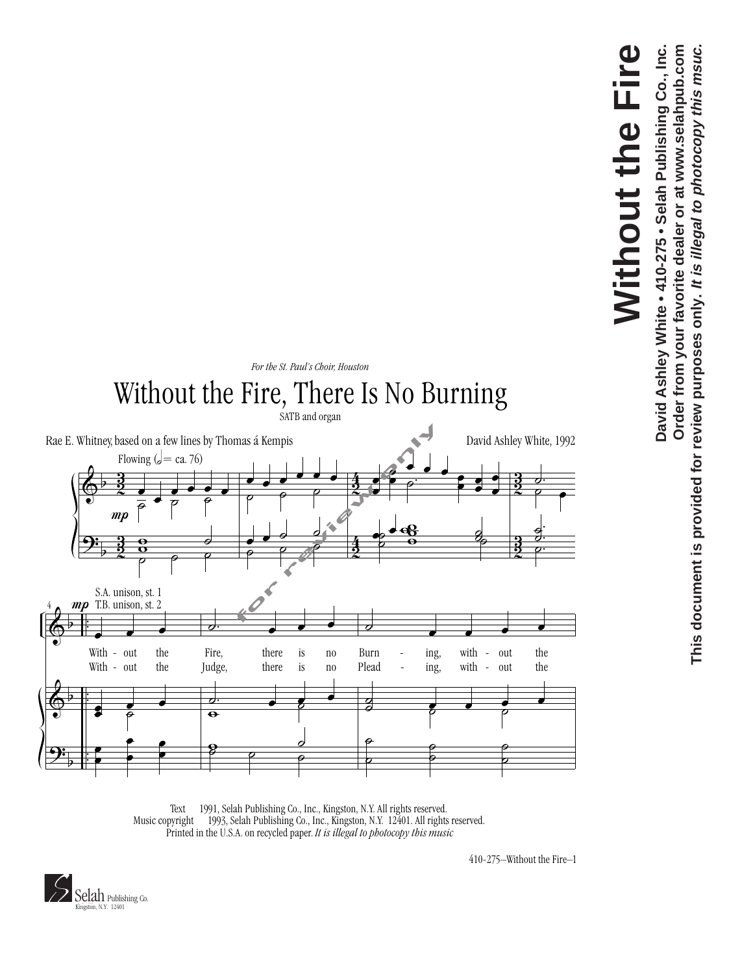

**This document is provided for review purposes only. It is illegal to photocopy this msuc.**

This document is provided for review purposes only. It is illegal to photocopy this msuc.



Text  $\odot$  1991, Selah Publishing Co., Inc., Kingston, N.Y. All rights reserved. Music copyright  $\odot$  1993, Selah Publishing Co., Inc., Kingston, N.Y. 12401. All rights reserved. Printed in the U.S.A. on recycled paper. *It is illegal to photocopy this music*

410-275–Without the Fire–1

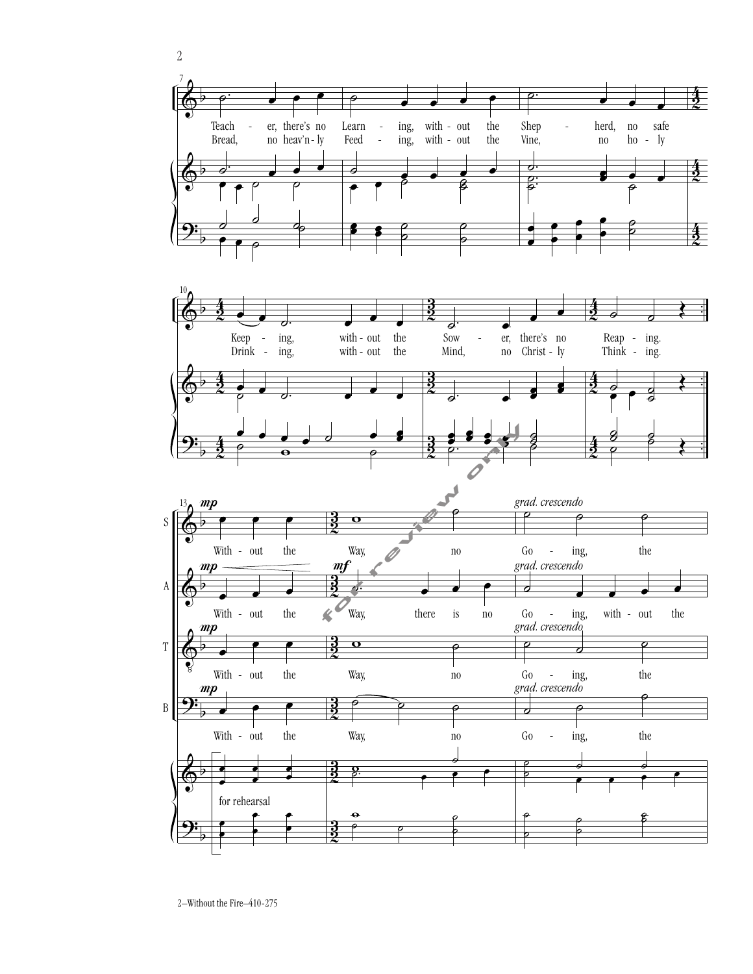





2–Without the Fire–410-275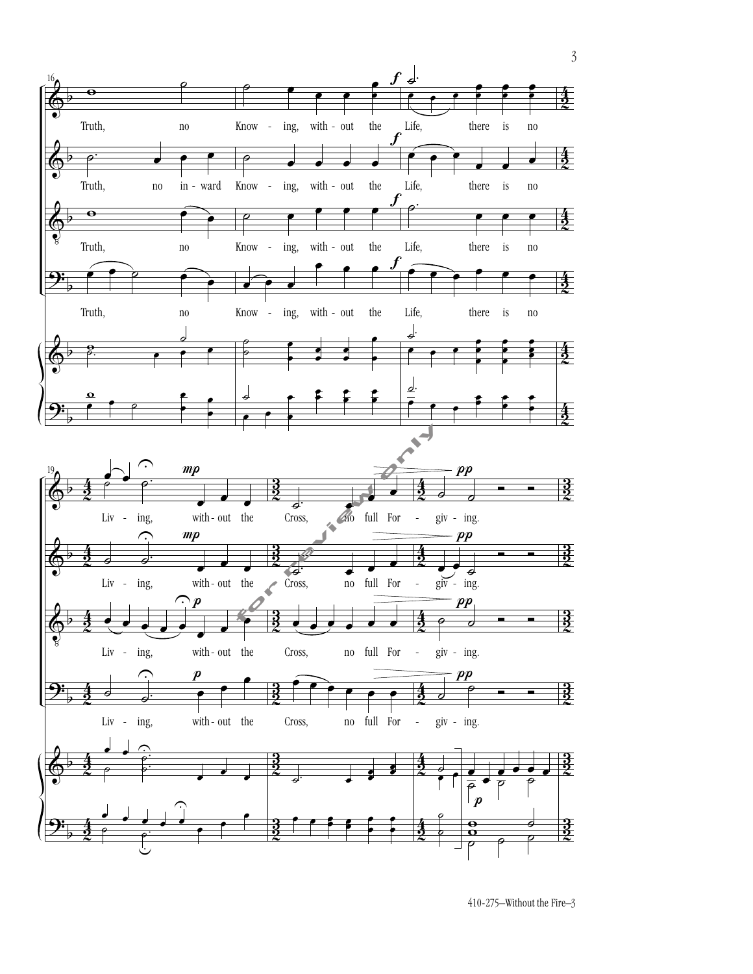

410-275–Without the Fire–3

3